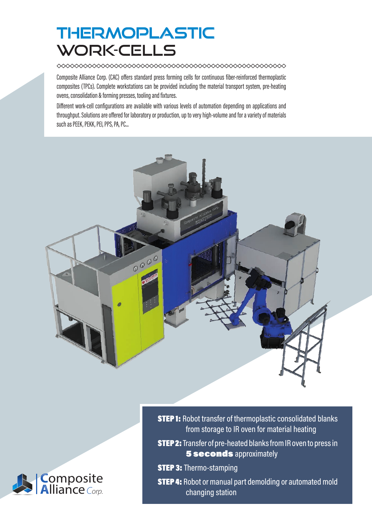## THERMOPLASTIC WORK-CELLS

Composite Alliance Corp. (CAC) offers standard press forming cells for continuous fiber-reinforced thermoplastic composites (TPCs). Complete workstations can be provided including the material transport system, pre-heating ovens, consolidation & forming presses, tooling and fixtures.

Different work-cell configurations are available with various levels of automation depending on applications and throughput. Solutions are offered for laboratory or production, up to very high-volume and for a variety of materials such as PEEK, PEKK, PEI, PPS, PA, PC...





**STEP 1:** Robot transfer of thermoplastic consolidated blanks from storage to IR oven for material heating

**STEP 2:** Transfer of pre-heated blanks from IR oven to press in **5 seconds** approximately

**STEP 3: Thermo-stamping** 

**STEP 4:** Robot or manual part demolding or automated mold changing station